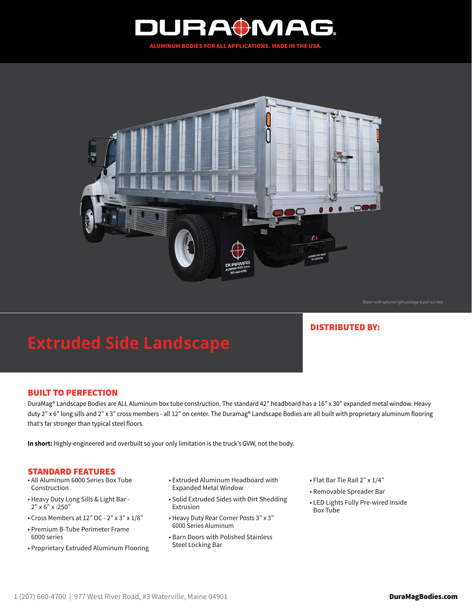



*Shown with optional light package & pull out step.*

## DISTRIBUTED BY:

# **Extruded Side Landscape**

## BUILT TO PERFECTION

DuraMag® Landscape Bodies are ALL Aluminum box tube construction. The standard 42" headboard has a 16" x 30" expanded metal window. Heavy duty 2" x 6" long sills and 2" x 3" cross members - all 12" on center. The Duramag® Landscape Bodies are all built with proprietary aluminum flooring that's far stronger than typical steel floors.

**In short:** Highly-engineered and overbuilt so your only limitation is the truck's GVW, not the body.

### STANDARD FEATURES

- All Aluminum 6000 Series Box Tube Construction
- Heavy Duty Long Sills & Light Bar 2" x 6" x .250"
- Cross Members at 12" OC 2" x 3" x 1/8"
- Premium B-Tube Perimeter Frame 6000 series
- Proprietary Extruded Aluminum Flooring
- Extruded Aluminum Headboard with Expanded Metal Window
- Solid Extruded Sides with Dirt Shedding Extrusion
- Heavy Duty Rear Corner Posts 3" x 3" 6000 Series Aluminum
- Barn Doors with Polished Stainless Steel Locking Bar
- Flat Bar Tie Rail 2" x 1/4"
- Removable Spreader Bar
- LED Lights Fully Pre-wired Inside Box Tube